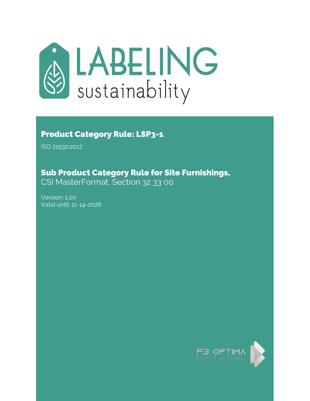

# Product Category Rule: LSP3-1

ISO 21930:2017

# Sub Product Category Rule for Site Furnishings,

CSI MasterFormat, Section 32 33 00

Version: 1.00 Valid until: 11-14-2026

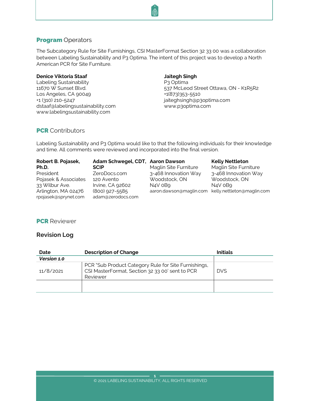# <span id="page-1-0"></span>**Program Operators**

The Subcategory Rule for Site Furnishings, CSI MasterFormat Section 32 33 00 was a collaboration between Labeling Sustainability and P3 Optima. The intent of this project was to develop a North American PCR for Site Furniture.

#### **Denice Viktoria Staaf**

Labeling Sustainability 11670 W Sunset Blvd. Los Angeles, CA 90049 +1 (310) 210-5247 dstaaf@labelingsustainability.com www.labelingsustainability.com

#### **Jaitegh Singh**

P3 Optima 537 McLeod Street Ottawa, ON - K1R5R2 +1(873)353-5510 jaiteghsingh@p3optima.com www.p3optima.com

# <span id="page-1-1"></span>**PCR** Contributors

Labeling Sustainability and P3 Optima would like to that the following individuals for their knowledge and time. All comments were reviewed and incorporated into the final version.

| Robert B. Pojasek,                          | Adam Schwegel, CDT, Aaron Dawson    |                                                    | <b>Kelly Nettleton</b> |
|---------------------------------------------|-------------------------------------|----------------------------------------------------|------------------------|
| Ph.D.                                       | <b>SCIP</b>                         | Maglin Site Furniture                              | Maglin Site Furniture  |
| President                                   | ZeroDocs.com                        | 3-468 Innovation Way                               | 3-468 Innovation Way   |
| Pojasek & Associates                        | 120 Avento                          | Woodstock, ON                                      | Woodstock, ON          |
| 33 Wilbur Ave.                              | Irvine, CA 92602                    | N4V 0B9                                            | N4V 0B9                |
| Arlington, MA 02476<br>rpojasek@sprynet.com | (800) 927-5585<br>adam@zerodocs.com | aaron.dawson@maglin.com kelly.nettleton@maglin.com |                        |

# <span id="page-1-3"></span><span id="page-1-2"></span>**PCR** Reviewer

# **Revision Log**

| Date        | <b>Description of Change</b>                                                                                        | <b>Initials</b> |
|-------------|---------------------------------------------------------------------------------------------------------------------|-----------------|
| Version 1.0 |                                                                                                                     |                 |
| 11/8/2021   | PCR "Sub Product Category Rule for Site Furnishings,<br>CSI MasterFormat, Section 32 33 00' sent to PCR<br>Reviewer | <b>DVS</b>      |
|             |                                                                                                                     |                 |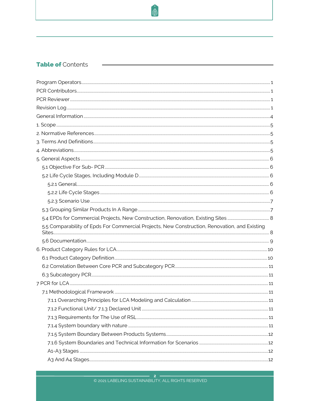# Table of Contents

| 5.5 Comparability of Epds For Commercial Projects, New Construction, Renovation, and Existing |  |
|-----------------------------------------------------------------------------------------------|--|
|                                                                                               |  |
|                                                                                               |  |
|                                                                                               |  |
|                                                                                               |  |
|                                                                                               |  |
|                                                                                               |  |
|                                                                                               |  |
|                                                                                               |  |
|                                                                                               |  |
|                                                                                               |  |
|                                                                                               |  |
|                                                                                               |  |
|                                                                                               |  |
|                                                                                               |  |

<sup>O</sup>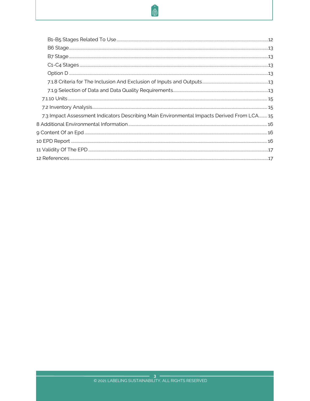# O.

| 7.3 Impact Assessment Indicators Describing Main Environmental Impacts Derived From LCA 15 |  |
|--------------------------------------------------------------------------------------------|--|
|                                                                                            |  |
|                                                                                            |  |
|                                                                                            |  |
|                                                                                            |  |
|                                                                                            |  |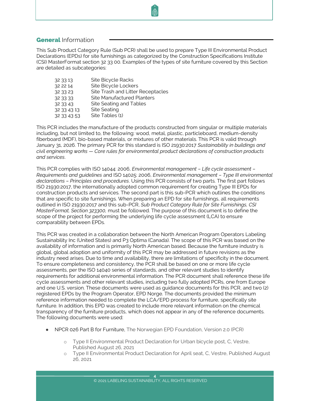# <span id="page-4-0"></span>**General Information**

This Sub Product Category Rule (Sub PCR) shall be used to prepare Type III Environmental Product Declarations (EPDs) for site furnishings as categorized by the Construction Specifications Institute (CSI) MasterFormat section 32 33 00. Examples of the types of site furniture covered by this Section are detailed as subcategories:

| 32 33 13    | Site Bicycle Racks                |
|-------------|-----------------------------------|
| 32 22 14    | Site Bicycle Lockers              |
| 32 33 23    | Site Trash and Litter Receptacles |
| 32 33 33    | <b>Site Manufactured Planters</b> |
| 32 33 43    | Site Seating and Tables           |
| 32 33 43 13 | <b>Site Seating</b>               |
| 32 33 43 53 | Site Tables (1)                   |

This PCR includes the manufacture of the products constructed from singular or multiple materials including, but not limited to, the following: wood, metal, plastic, particleboard, medium-density fiberboard (MDF), bio-based materials, or mixtures of other materials. This PCR is valid through January 31, 2026. The primary PCR for this standard is ISO 21930:2017 *Sustainability in buildings and civil engineering works — Core rules for environmental product declarations of construction products and services*.

This PCR complies with ISO 14044: 2006, *Environmental management – Life cycle assessment – Requirements and guidelines* and ISO 14025: 2006, *Environmental management – Type III environmental declarations – Principles and procedures*. Using this PCR consists of two parts. The first part follows ISO 21930:2017, the internationally adopted common requirement for creating Type III EPDs for construction products and services. The second part is this sub-PCR which outlines the conditions that are specific to site furnishings. When preparing an EPD for site furnishings, all requirements outlined in ISO 21930:2017 and this sub-PCR, *Sub Product Category Rule for Site Furnishings, CSI MasterFormat, Section 323300,* must be followed. The purpose of this document is to define the scope of the project for performing the underlying life cycle assessment (LCA) to ensure comparability between EPDs.

This PCR was created in a collaboration between the North American Program Operators Labeling Sustainability Inc (United States) and P3 Optima (Canada). The scope of this PCR was based on the availability of information and is primarily North American based. Because the furniture industry is global, global adoption and uniformity of this PCR may be addressed in future revisions as the industry need arises. Due to time and availability, there are limitations of specificity in the document. To ensure completeness and consistency, the PCR shall be based on one or more life cycle assessments, per the ISO 14040 series of standards, and other relevant studies to identify requirements for additional environmental information. The PCR document shall reference these life cycle assessments and other relevant studies, including two fully adopted PCRs, one from Europe and one U.S. version. These documents were used as guidance documents for this PCR, and two (2) registered EPDs by the Program Operator, EPD Norge. The documents provided the minimum reference information needed to complete the LCA/EPD process for furniture, specifically site furniture. In addition, this EPD was created to include more relevant information on the chemical transparency of the furniture products, which does not appear in any of the reference documents. The following documents were used:

- NPCR 026 Part B for Furniture, The Norwegian EPD Foundation, Version 2.0 (PCR)
	- o Type II Environmental Product Declaration for Urban bicycle post, C, Vestre, Published August 26, 2021
	- o Type II Environmental Product Declaration for April seat, C, Vestre, Published August 26, 2021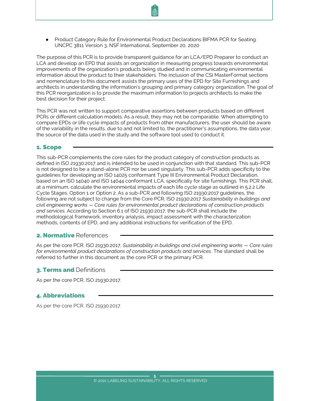● Product Category Rule for Environmental Product Declarations BIFMA PCR for Seating: UNCPC 3811 Version 3, NSF International, September 20, 2020

The purpose of this PCR is to provide transparent guidance for an LCA/EPD Preparer to conduct an LCA and develop an EPD that assists an organization in measuring progress towards environmental improvements of the organization's products being studied and in communicating environmental information about the product to their stakeholders. The inclusion of the CSI MasterFormat sections and nomenclature to this document assists the primary uses of the EPD for Site Furnishings and architects in understanding the information's grouping and primary category organization. The goal of this PCR reorganization is to provide the maximum information to projects architects to make the best decision for their project.

This PCR was not written to support comparative assertions between products based on different PCRs or different calculation models. As a result, they may not be comparable. When attempting to compare EPDs or life cycle impacts of products from other manufacturers, the user should be aware of the variability in the results, due to and not limited to, the practitioner's assumptions, the data year, the source of the data used in the study and the software tool used to conduct it.

#### <span id="page-5-0"></span>1. Scope

This sub-PCR complements the core rules for the product category of construction products as defined in ISO 21930:2017 and is intended to be used in conjunction with that standard. This sub-PCR is not designed to be a stand-alone PCR nor be used singularly. This sub-PCR adds specificity to the guidelines for developing an ISO 14025 conformant Type III Environmental Product Declaration, based on an ISO 14040 and ISO 14044 conformant LCA, specifically for site furnishings. This PCR shall, at a minimum, calculate the environmental impacts of each life cycle stage as outlined in 5.2.2 Life Cycle Stages, Option 1 or Option 2. As a sub-PCR and following ISO 21930:2017 guidelines, the following are not subject to change from the Core PCR, ISO 21930:2017 *Sustainability in buildings and civil engineering works — Core rules for environmental product declarations of construction products and services.* According to Section 6.1 of ISO 21930:2017, the sub-PCR shall include the methodological framework, inventory analysis, impact assessment with the characterization methods, contents of EPD, and any additional instructions for verification of the EPD.

#### <span id="page-5-1"></span>2. Normative References

As per the core PCR, ISO 21930:2017, *Sustainability in buildings and civil engineering works — Core rules for environmental product declarations of construction products and services*. The standard shall be referred to further in this document as the core PCR or the primary PCR.

#### <span id="page-5-2"></span>**3. Terms and Definitions**

As per the core PCR, ISO 21930:2017.

#### <span id="page-5-3"></span>4. Abbreviations

As per the core PCR, ISO 21930:2017.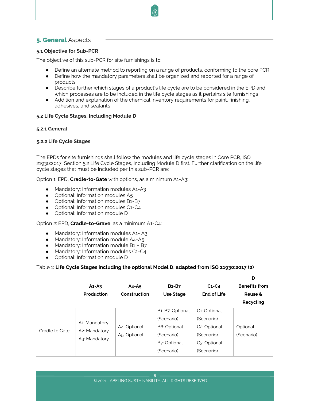# <span id="page-6-0"></span>**5. General Aspects**

### <span id="page-6-1"></span>**5.1 Objective for Sub-PCR**

The objective of this sub-PCR for site furnishings is to:

- Define an alternate method to reporting on a range of products, conforming to the core PCR
- Define how the mandatory parameters shall be organized and reported for a range of products
- Describe further which stages of a product's life cycle are to be considered in the EPD and which processes are to be included in the life cycle stages as it pertains site furnishings
- Addition and explanation of the chemical inventory requirements for paint, finishing, adhesives, and sealants

#### <span id="page-6-3"></span><span id="page-6-2"></span>**5.2 Life Cycle Stages, Including Module D**

#### <span id="page-6-4"></span>**5.2.1 General**

#### **5.2.2 Life Cycle Stages**

The EPDs for site furnishings shall follow the modules and life cycle stages in Core PCR, ISO 21930:2017, Section 5.2 Life Cycle Stages, Including Module D first. Further clarification on the life cycle stages that must be included per this sub-PCR are:

Option 1: EPD, **Cradle-to-Gate** with options, as a minimum A1-A3:

- Mandatory: Information modules A1-A3
- Optional: Information modules A5
- Optional: Information modules B1-B7
- Optional: Information modules C1-C4
- Optional: Information module D

#### Option 2: EPD, **Cradle-to-Grave**, as a minimum A1-C4:

- Mandatory: Information modules A1- A3
- Mandatory: Information module A4-A5
- Mandatory: Information module B1 B7
- Mandatory: Information modules C1-C4
- Optional: Information module D

#### Table 1: **Life Cycle Stages including the optional Model D, adapted from ISO 21930:2017 (2)**

|                | $A1 - A3$<br>Production                         | $A4 - A5$<br>Construction    | <b>B1-B7</b><br><b>Use Stage</b>                                                          | $C1-C4$<br><b>End of Life</b>                                                                                    | D<br><b>Benefits from</b><br>Reuse &<br>Recycling |
|----------------|-------------------------------------------------|------------------------------|-------------------------------------------------------------------------------------------|------------------------------------------------------------------------------------------------------------------|---------------------------------------------------|
| Cradle to Gate | A1: Mandatory<br>A2: Mandatory<br>A3: Mandatory | A4: Optional<br>A5: Optional | B1-B7: Optional<br>(Scenario)<br>B6: Optional<br>(Scenario)<br>B7: Optional<br>(Scenario) | C1: Optional<br>(Scenario)<br>C <sub>2</sub> : Optional<br>(Scenario)<br>C <sub>3</sub> : Optional<br>(Scenario) | Optional<br>(Scenario)                            |

**6**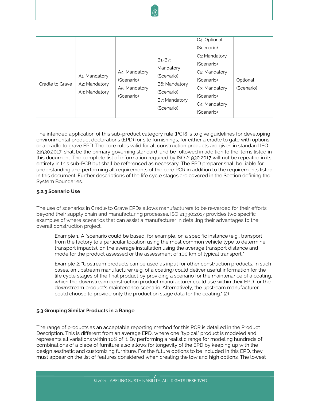| Cradle to Grave | A1: Mandatory<br>A2: Mandatory | A4: Mandatory<br>(Scenario)<br>A5: Mandatory | B <sub>1</sub> -B <sub>7</sub> :<br>Mandatory<br>(Scenario)<br>B6: Mandatory | C4: Optional<br>(Scenario)<br>C <sub>1</sub> : Mandatory<br>(Scenario)<br>C <sub>2</sub> : Mandatory<br>(Scenario)<br>C3: Mandatory | Optional<br>(Scenario) |
|-----------------|--------------------------------|----------------------------------------------|------------------------------------------------------------------------------|-------------------------------------------------------------------------------------------------------------------------------------|------------------------|
|                 | A3: Mandatory                  | (Scenario)                                   | (Scenario)<br>B7: Mandatory<br>(Scenario)                                    | (Scenario)<br>C4: Mandatory<br>(Scenario)                                                                                           |                        |

The intended application of this sub-product category rule (PCR) is to give guidelines for developing environmental product declarations (EPD) for site furnishings, for either a cradle to gate with options or a cradle to grave EPD. The core rules valid for all construction products are given in standard ISO 21930:2017, shall be the primary governing standard, and be followed in addition to the items listed in this document. The complete list of information required by ISO 21930:2017 will not be repeated in its entirety in this sub-PCR but shall be referenced as necessary. The EPD preparer shall be liable for understanding and performing all requirements of the core PCR in addition to the requirements listed in this document. Further descriptions of the life cycle stages are covered in the Section defining the System Boundaries.

#### <span id="page-7-0"></span>**5.2.3 Scenario Use**

The use of scenarios in Cradle to Grave EPDs allows manufacturers to be rewarded for their efforts beyond their supply chain and manufacturing processes. ISO 21930:2017 provides two specific examples of where scenarios that can assist a manufacturer in detailing their advantages to the overall construction project.

Example 1: A "scenario could be based, for example, on a specific instance (e.g., transport from the factory to a particular location using the most common vehicle type to determine transport impacts), on the average installation using the average transport distance and mode for the product assessed or the assessment of 100 km of typical transport."

Example 2: "Upstream products can be used as input for other construction products. In such cases, an upstream manufacturer (e.g. of a coating) could deliver useful information for the life cycle stages of the final product by providing a scenario for the maintenance of a coating, which the downstream construction product manufacturer could use within their EPD for the downstream product's maintenance scenario. Alternatively, the upstream manufacturer could choose to provide only the production stage data for the coating." (2)

#### <span id="page-7-1"></span>**5.3 Grouping Similar Products in a Range**

The range of products as an acceptable reporting method for this PCR is detailed in the Product Description. This is different from an average EPD, where one "typical" product is modeled and represents all variations within 10% of it. By performing a realistic range for modeling hundreds of combinations of a piece of furniture also allows for longevity of the EPD by keeping up with the design aesthetic and customizing furniture. For the future options to be included in this EPD, they must appear on the list of features considered when creating the low and high options. The lowest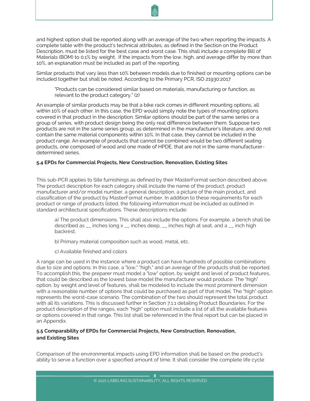

Similar products that vary less than 10% between models due to finished or mounting options can be included together but shall be noted. According to the Primary PCR, ISO 21930:2017

"Products can be considered similar based on materials, manufacturing or function, as relevant to the product category." (2)

An example of similar products may be that a bike rack comes in different mounting options, all within 10% of each other. In this case, the EPD would simply note the types of mounting options covered in that product in the description. Similar options should be part of the same series or a group of series, with product design being the only real difference between them. Suppose two products are not in the same series group, as determined in the manufacturer's literature, and do not contain the same material components within 10%. In that case, they cannot be included in the product range. An example of products that cannot be combined would be two different seating products, one composed of wood and one made of HPDE, that are not in the same manufacturerdetermined series.

#### <span id="page-8-0"></span>**5.4 EPDs for Commercial Projects, New Construction, Renovation, Existing Sites**

This sub-PCR applies to Site furnishings as defined by their MasterFormat section described above. The product description for each category shall include the name of the product, product manufacturer and/or model number, a general description, a picture of the main product, and classification of the product by MasterFormat number. In addition to these requirements for each product or range of products listed, the following information must be included as outlined in standard architectural specifications. These descriptions include:

a) The product dimensions. This shall also include the options. For example, a bench shall be described as  $\overline{a}$  inches long  $x - \overline{b}$  inches deep,  $\overline{a}$  inches high at seat, and  $\overline{a}$   $\overline{a}$  inch high backrest.

- b) Primary material composition such as wood, metal, etc.
- c) Available finished and colors

A range can be used in the instance where a product can have hundreds of possible combinations due to size and options. In this case, a "low," "high," and an average of the products shall be reported. To accomplish this, the preparer must model a "low" option, by weight and level of product features, that could be described as the lowest base model the manufacturer would produce. The "high" option, by weight and level of features, shall be modeled to include the most prominent dimension with a reasonable number of options that could be purchased as part of that model. The "high" option represents the worst-case scenario. The combination of the two should represent the total product with all its variations. This is discussed further in Section 7.1.1 detailing Product Boundaries. For the product description of the ranges, each "high" option must include a list of all the available features or options covered in that range. This list shall be referenced in the final report but can be placed in an Appendix.

# <span id="page-8-1"></span>**5.5 Comparability of EPDs for Commercial Projects, New Construction, Renovation, and Existing Sites**

Comparison of the environmental impacts using EPD information shall be based on the product's ability to serve a function over a specified amount of time. It shall consider the complete life cycle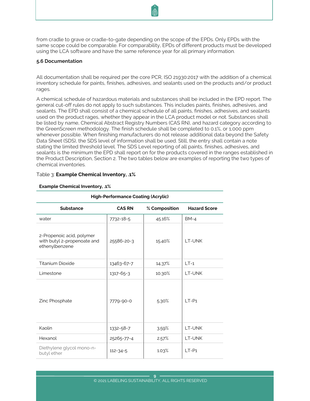from cradle to grave or cradle-to-gate depending on the scope of the EPDs. Only EPDs with the same scope could be comparable. For comparability, EPDs of different products must be developed using the LCA software and have the same reference year for all primary information.

#### <span id="page-9-0"></span>**5.6 Documentation**

All documentation shall be required per the core PCR, ISO 21930:2017 with the addition of a chemical inventory schedule for paints, finishes, adhesives, and sealants used on the products and/or product rages.

A chemical schedule of hazardous materials and substances shall be included in the EPD report. The general cut-off rules do not apply to such substances. This includes paints, finishes, adhesives, and sealants. The EPD shall consist of a chemical schedule of all paints, finishes, adhesives, and sealants used on the product rages, whether they appear in the LCA product model or not. Substances shall be listed by name, Chemical Abstract Registry Numbers (CAS RN), and hazard category according to the GreenScreen methodology. The finish schedule shall be completed to 0.1%, or 1,000 ppm whenever possible. When finishing manufacturers do not release additional data beyond the Safety Data Sheet (SDS), the SDS level of information shall be used. Still, the entry shall contain a note stating the limited threshold level. The SDS Level reporting of all paints, finishes, adhesives, and sealants is the minimum the EPD shall report on for the products covered in the ranges established in the Product Description, Section 2. The two tables below are examples of reporting the two types of chemical inventories.

| <b>High-Performance Coating (Acrylic)</b>                                  |                                                       |        |               |  |  |  |  |  |
|----------------------------------------------------------------------------|-------------------------------------------------------|--------|---------------|--|--|--|--|--|
| <b>Substance</b>                                                           | % Composition<br><b>Hazard Score</b><br><b>CAS RN</b> |        |               |  |  |  |  |  |
| water                                                                      | 7732-18-5                                             | 45.16% | $BM-4$        |  |  |  |  |  |
| 2-Propenoic acid, polymer<br>with butyl 2-propenoate and<br>ethenylbenzene | 25586-20-3                                            | 15.40% | LT-UNK        |  |  |  |  |  |
| <b>Titanium Dioxide</b>                                                    | 13463-67-7                                            | 14.37% | $LT-1$        |  |  |  |  |  |
| Limestone                                                                  | 1317-65-3                                             | 10.30% | LT-UNK        |  |  |  |  |  |
| Zinc Phosphate                                                             | 7779-90-0                                             | 5.30%  | $I$ T-P1      |  |  |  |  |  |
| Kaolin                                                                     | 1332-58-7                                             | 3.59%  | <b>LT-UNK</b> |  |  |  |  |  |
| Hexanol                                                                    | 25265-77-4                                            | 2.57%  | LT-UNK        |  |  |  |  |  |
| Diethylene glycol mono-n-<br>butyl ether                                   | $112 - 34 - 5$                                        | 1.03%  | $LT-P1$       |  |  |  |  |  |

#### Table 3: **Example Chemical Inventory, .1%**

#### **Example Chemical Inventory, .1%**

**9**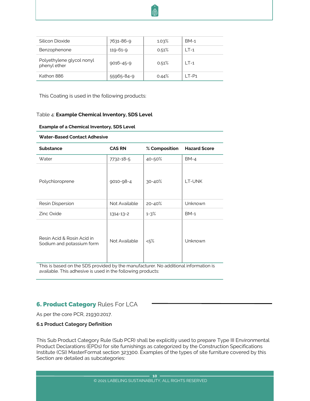

| Silicon Dioxide                           | 7631-86-9  | 1.03% | $BM-1$  |
|-------------------------------------------|------------|-------|---------|
| Benzophenone                              | 119-61-9   | 0.51% | $\_T-1$ |
| Polyethylene glycol nonyl<br>phenyl ether | 9016-45-9  | 0.51% | $LT-1$  |
| Kathon 886                                | 55965-84-9 | 0.44% | I T-P1  |

This Coating is used in the following products:

#### Table 4: **Example Chemical Inventory, SDS Level**

#### **Example of a Chemical Inventory, SDS Level**

| <b>Water-Based Contact Adhesive</b>                     |               |               |                     |  |  |
|---------------------------------------------------------|---------------|---------------|---------------------|--|--|
| <b>Substance</b>                                        | <b>CAS RN</b> | % Composition | <b>Hazard Score</b> |  |  |
| Water                                                   | 7732-18-5     | 40-50%        | $BM-4$              |  |  |
| Polychloroprene                                         | 9010-98-4     | $30 - 40%$    | LT-UNK              |  |  |
| Resin Dispersion                                        | Not Available | 20-40%        | Unknown             |  |  |
| Zinc Oxide                                              | 1314-13-2     | $1 - 3%$      | $BM-1$              |  |  |
| Resin Acid & Rosin Acid in<br>Sodium and potassium form | Not Available | <5%           | Unknown             |  |  |

<span id="page-10-0"></span>This is based on the SDS provided by the manufacturer. No additional information is available. This adhesive is used in the following products:

# **6. Product Category Rules For LCA**

As per the core PCR, 21930:2017.

#### <span id="page-10-1"></span>**6.1 Product Category Definition**

This Sub Product Category Rule (Sub PCR) shall be explicitly used to prepare Type III Environmental Product Declarations (EPDs) for site furnishings as categorized by the Construction Specifications Institute (CSI) MasterFormat section 323300. Examples of the types of site furniture covered by this Section are detailed as subcategories: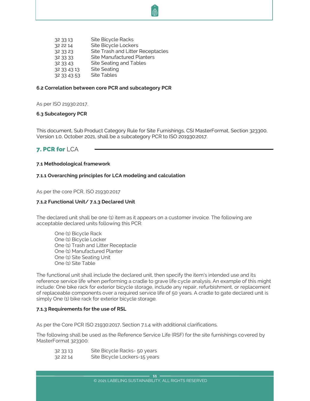32 33 13 Site Bicycle Racks 32 22 14 Site Bicycle Lockers 32 33 23 Site Trash and Litter Receptacles 32 33 33 Site Manufactured Planters 32 33 43 Site Seating and Tables 32 33 43 13 Site Seating 32 33 43 53 Site Tables

#### <span id="page-11-0"></span>**6.2 Correlation between core PCR and subcategory PCR**

As per ISO 21930:2017.

#### <span id="page-11-1"></span>**6.3 Subcategory PCR**

This document, Sub Product Category Rule for Site Furnishings, CSI MasterFormat, Section 323300, Version 1.0, October 2021, shall be a subcategory PCR to ISO 201930:2017.

# <span id="page-11-3"></span><span id="page-11-2"></span>7. PCR for LCA

#### <span id="page-11-4"></span>**7.1 Methodological framework**

#### **7.1.1 Overarching principles for LCA modeling and calculation**

As per the core PCR, ISO 21930:2017

#### <span id="page-11-5"></span>**7.1.2 Functional Unit/ 7.1.3 Declared Unit**

The declared unit shall be one (1) item as it appears on a customer invoice. The following are acceptable declared units following this PCR:

One (1) Bicycle Rack One (1) Bicycle Locker One (1) Trash and Litter Receptacle One (1) Manufactured Planter One (1) Site Seating Unit One (1) Site Table

The functional unit shall include the declared unit, then specify the item's intended use and its reference service life when performing a cradle to grave life cycle analysis. An example of this might include: One bike rack for exterior bicycle storage, include any repair, refurbishment, or replacement of replaceable components over a required service life of 50 years. A cradle to gate declared unit is simply One (1) bike rack for exterior bicycle storage.

#### <span id="page-11-6"></span>**7.1.3 Requirements for the use of RSL**

As per the Core PCR ISO 21930:2017, Section 7.1.4 with additional clarifications.

The following shall be used as the Reference Service Life (RSF) for the site furnishings covered by MasterFormat 323300:

- 32 33 13 Site Bicycle Racks- 50 years
- 32 22 14 Site Bicycle Lockers-15 years

**11**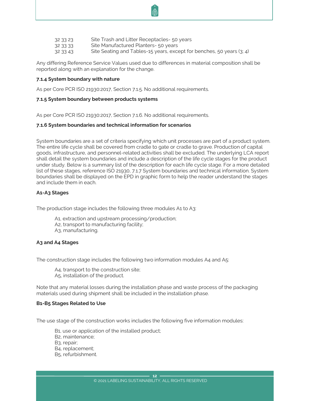- 32 33 23 Site Trash and Litter Receptacles- 50 years
- 32 33 33 Site Manufactured Planters- 50 years
- 32 33 43 Site Seating and Tables-15 years, except for benches, 50 years (3; 4)

Any differing Reference Service Values used due to differences in material composition shall be reported along with an explanation for the change.

#### **7.1.4 System boundary with nature**

As per Core PCR ISO 21930:2017, Section 7.1.5. No additional requirements.

#### <span id="page-12-0"></span>**7.1.5 System boundary between products systems**

As per Core PCR ISO 21930:2017, Section 7.1.6. No additional requirements.

#### <span id="page-12-1"></span>**7.1.6 System boundaries and technical information for scenarios**

System boundaries are a set of criteria specifying which unit processes are part of a product system. The entire life cycle shall be covered from cradle to gate or cradle to grave. Production of capital goods, infrastructure, and personnel-related activities shall be excluded. The underlying LCA report shall detail the system boundaries and include a description of the life cycle stages for the product under study. Below is a summary list of the description for each life cycle stage. For a more detailed list of these stages, reference ISO 21930, 7.1.7 System boundaries and technical information. System boundaries shall be displayed on the EPD in graphic form to help the reader understand the stages and include them in each.

#### <span id="page-12-2"></span>**A1-A3 Stages**

The production stage includes the following three modules A1 to A3:

- A1, extraction and upstream processing/production;
- A2, transport to manufacturing facility;
- A3, manufacturing.

#### <span id="page-12-3"></span>**A3 and A4 Stages**

The construction stage includes the following two information modules A4 and A5:

A4, transport to the construction site; A5, installation of the product.

Note that any material losses during the installation phase and waste process of the packaging materials used during shipment shall be included in the installation phase.

#### <span id="page-12-4"></span>**B1-B5 Stages Related to Use**

The use stage of the construction works includes the following five information modules:

B1, use or application of the installed product;

B2, maintenance;

B<sub>3</sub>, repair;

- B4, replacement;
- B5, refurbishment.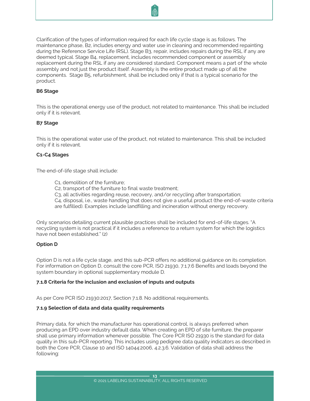

Clarification of the types of information required for each life cycle stage is as follows. The maintenance phase, B2, includes energy and water use in cleaning and recommended repainting during the Reference Service Life (RSL). Stage B3, repair, includes repairs during the RSL if any are deemed typical. Stage B4, replacement, includes recommended component or assembly replacement during the RSL if any are considered standard. Component means a part of the whole assembly and not just the product itself. Assembly is the entire product made up of all the components. Stage B5, refurbishment, shall be included only if that is a typical scenario for the product.

#### <span id="page-13-0"></span>**B6 Stage**

This is the operational energy use of the product, not related to maintenance. This shall be included only if it is relevant.

#### <span id="page-13-1"></span>**B7 Stage**

This is the operational water use of the product, not related to maintenance. This shall be included only if it is relevant.

#### <span id="page-13-2"></span>**C1-C4 Stages**

The end-of-life stage shall include:

- C1, demolition of the furniture;
- C2, transport of the furniture to final waste treatment;
- C3, all activities regarding reuse, recovery, and/or recycling after transportation;

C4, disposal, i.e., waste handling that does not give a useful product (the end-of-waste criteria are fulfilled). Examples include landfilling and incineration without energy recovery.

Only scenarios detailing current plausible practices shall be included for end-of-life stages. "A recycling system is not practical if it includes a reference to a return system for which the logistics have not been established." (2)

#### <span id="page-13-3"></span>**Option D**

Option D is not a life cycle stage, and this sub-PCR offers no additional guidance on its completion. For information on Option D, consult the core PCR, ISO 21930, 7.1.7.6 Benefits and loads beyond the system boundary in optional supplementary module D.

#### <span id="page-13-4"></span>**7.1.8 Criteria for the inclusion and exclusion of inputs and outputs**

As per Core PCR ISO 21930:2017, Section 7.1.8. No additional requirements.

#### <span id="page-13-5"></span>**7.1.9 Selection of data and data quality requirements**

Primary data, for which the manufacturer has operational control, is always preferred when producing an EPD over industry default data. When creating an EPD of site furniture, the preparer shall use primary information whenever possible. The Core PCR ISO 21930 is the standard for data quality in this sub-PCR reporting. This includes using pedigree data quality indicators as described in both the Core PCR, Clause 10 and ISO 14044:2006, 4.2.3.6. Validation of data shall address the following: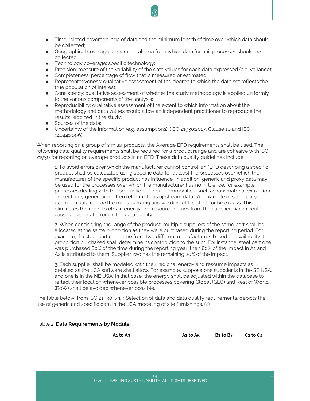- Time-related coverage: age of data and the minimum length of time over which data should be collected;
- Geographical coverage: geographical area from which data for unit processes should be collected;
- **•** Technology coverage: specific technology;
- Precision: measure of the variability of the data values for each data expressed (e.g. variance);
- Completeness: percentage of flow that is measured or estimated;
- Representativeness: qualitative assessment of the degree to which the data set reflects the true population of interest;
- Consistency: qualitative assessment of whether the study methodology is applied uniformly to the various components of the analysis;
- Reproducibility: qualitative assessment of the extent to which information about the methodology and data values would allow an independent practitioner to reproduce the results reported in the study;
- Sources of the data;
- Uncertainty of the information (e.g. assumptions). (ISO 21930:2017, Clause 10 and ISO 14044:2006)

When reporting on a group of similar products, the Average EPD requirements shall be used. The following data quality requirements shall be required for a product range and are cohesive with ISO 21930 for reporting on average products in an EPD. These data quality guidelines include:

1. To avoid errors over which the manufacturer cannot control, an "EPD describing a specific product shall be calculated using specific data for at least the processes over which the manufacturer of the specific product has influence. In addition, generic and proxy data may be used for the processes over which the manufacturer has no influence, for example, processes dealing with the production of input commodities, such as raw material extraction or electricity generation, often referred to as upstream data." An example of secondary upstream data can be the manufacturing and welding of the steel for bike racks. This eliminates the need to obtain energy and resource values from the supplier, which could cause accidental errors in the data quality.

2. When considering the range of the product, multiple suppliers of the same part shall be allocated at the same proportion as they were purchased during the reporting period. For example, if a steel part can come from two different manufacturers based on availability, the proportion purchased shall determine its contribution to the sum. For instance, steel part one was purchased 80% of the time during the reporting year, then 80% of the impact in A1 and A2 is attributed to them. Supplier two has the remaining 20% of the impact.

3. Each supplier shall be modeled with their regional energy and resource impacts as detailed as the LCA software shall allow. For example, suppose one supplier is in the SE USA, and one is in the NE USA. In that case, the energy shall be adjusted within the database to reflect their location whenever possible processes covering Global (GLO) and Rest of World (RoW) shall be avoided whenever possible.

The table below, from ISO 21930, 7.1.9 Selection of data and data quality requirements, depicts the use of generic and specific data in the LCA modeling of site furnishings. (2)

#### Table 2: **Data Requirements by Module**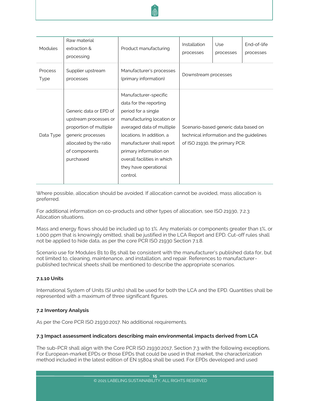

| Modules                | Raw material<br>extraction &<br>processing                                                                                                             | Product manufacturing                                                                                                                                                                                                                                                                    | Installation<br>Use<br>processes<br>processes                                                                      |  | End-of-life<br>processes |
|------------------------|--------------------------------------------------------------------------------------------------------------------------------------------------------|------------------------------------------------------------------------------------------------------------------------------------------------------------------------------------------------------------------------------------------------------------------------------------------|--------------------------------------------------------------------------------------------------------------------|--|--------------------------|
| <b>Process</b><br>Type | Supplier upstream<br>processes                                                                                                                         | Manufacturer's processes<br>(primary information)                                                                                                                                                                                                                                        | Downstream processes                                                                                               |  |                          |
| Data Type              | Generic data or EPD of<br>upstream processes or<br>proportion of multiple<br>generic processes<br>allocated by the ratio<br>of components<br>purchased | Manufacturer-specific<br>data for the reporting<br>period for a single<br>manufacturing location or<br>averaged data of multiple<br>locations. In addition, a<br>manufacturer shall report<br>primary information on<br>overall facilities in which<br>they have operational<br>control. | Scenario-based generic data based on<br>technical information and the guidelines<br>of ISO 21930, the primary PCR. |  |                          |

Where possible, allocation should be avoided. If allocation cannot be avoided, mass allocation is preferred.

For additional information on co-products and other types of allocation, see ISO 21930, 7.2.3 Allocation situations.

Mass and energy flows should be included up to 1%. Any materials or components greater than 1%, or 1,000 ppm that is knowingly omitted, shall be justified in the LCA Report and EPD. Cut-off rules shall not be applied to hide data, as per the core PCR ISO 21930 Section 7.1.8.

Scenario use for Modules B1 to B5 shall be consistent with the manufacturer's published data for, but not limited to, cleaning, maintenance, and installation, and repair. References to manufacturerpublished technical sheets shall be mentioned to describe the appropriate scenarios.

# <span id="page-15-0"></span>**7.1.10 Units**

International System of Units (SI units) shall be used for both the LCA and the EPD. Quantities shall be represented with a maximum of three significant figures.

#### <span id="page-15-1"></span>**7.2 Inventory Analysis**

<span id="page-15-2"></span>As per the Core PCR ISO 21930:2017. No additional requirements.

#### **7.3 Impact assessment indicators describing main environmental impacts derived from LCA**

The sub-PCR shall align with the Core PCR ISO 21930:2017, Section 7.3 with the following exceptions. For European-market EPDs or those EPDs that could be used in that market, the characterization method included in the latest edition of EN 15804 shall be used. For EPDs developed and used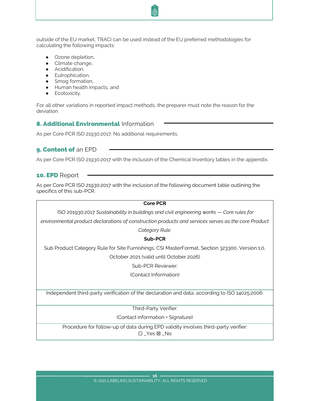outside of the EU market, TRACI can be used instead of the EU preferred methodologies for calculating the following impacts:

- Ozone depletion,
- Climate change,
- Acidification,
- Eutrophication,
- Smog formation,
- Human health impacts, and
- **•** Ecotoxicity.

For all other variations in reported impact methods, the preparer must note the reason for the deviation.

# <span id="page-16-0"></span>**8. Additional Environmental Information**

As per Core PCR ISO 21930:2017. No additional requirements.

# <span id="page-16-1"></span>9. Content of an EPD

As per Core PCR ISO 21930:2017 with the inclusion of the Chemical Inventory tables in the appendix.

# <span id="page-16-2"></span>10. EPD Report

As per Core PCR ISO 21930:2017 with the inclusion of the following document table outlining the specifics of this sub-PCR.

#### **Core PCR**

ISO 201930:2017 *Sustainability in buildings and civil engineering works – Core rules for* 

*environmental product declarations of construction products and services serves as the core Product* 

*Category Rule.*

**Sub-PCR**

Sub Product Category Rule for Site Furnishings, CSI MasterFormat, Section 323300, Version 1.0, October 2021 (valid until October 2026)

Sub-PCR Reviewer:

(Contact Information)

Independent third-party verification of the declaration and data, according to ISO 14025:2006:

Third-Party Verifier:

(Contact information + Signature)

Procedure for follow-up of data during EPD validity involves third-party verifier: ☐ \_Yes ☒ \_No